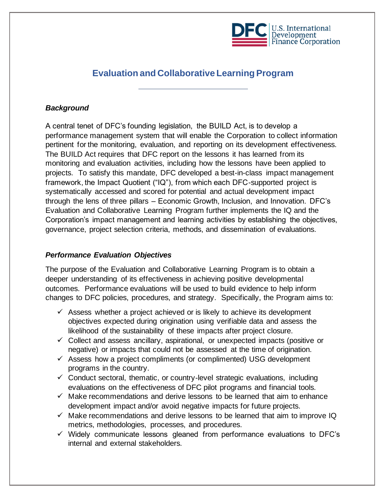

# **Evaluation and Collaborative Learning Program**

# *Background*

A central tenet of DFC's founding legislation, the BUILD Act, is to develop a performance management system that will enable the Corporation to collect information pertinent for the monitoring, evaluation, and reporting on its development effectiveness. The BUILD Act requires that DFC report on the lessons it has learned from its monitoring and evaluation activities, including how the lessons have been applied to projects. To satisfy this mandate, DFC developed a best-in-class impact management framework, the Impact Quotient ("IQ"), from which each DFC-supported project is systematically accessed and scored for potential and actual development impact through the lens of three pillars – Economic Growth, Inclusion, and Innovation. DFC's Evaluation and Collaborative Learning Program further implements the IQ and the Corporation's impact management and learning activities by establishing the objectives, governance, project selection criteria, methods, and dissemination of evaluations.

### *Performance Evaluation Objectives*

The purpose of the Evaluation and Collaborative Learning Program is to obtain a deeper understanding of its effectiveness in achieving positive developmental outcomes. Performance evaluations will be used to build evidence to help inform changes to DFC policies, procedures, and strategy. Specifically, the Program aims to:

- $\checkmark$  Assess whether a project achieved or is likely to achieve its development objectives expected during origination using verifiable data and assess the likelihood of the sustainability of these impacts after project closure.
- $\checkmark$  Collect and assess ancillary, aspirational, or unexpected impacts (positive or negative) or impacts that could not be assessed at the time of origination.
- $\checkmark$  Assess how a project compliments (or complimented) USG development programs in the country.
- $\checkmark$  Conduct sectoral, thematic, or country-level strategic evaluations, including evaluations on the effectiveness of DFC pilot programs and financial tools.
- $\checkmark$  Make recommendations and derive lessons to be learned that aim to enhance development impact and/or avoid negative impacts for future projects.
- $\checkmark$  Make recommendations and derive lessons to be learned that aim to improve IQ metrics, methodologies, processes, and procedures.
- ✓ Widely communicate lessons gleaned from performance evaluations to DFC's internal and external stakeholders.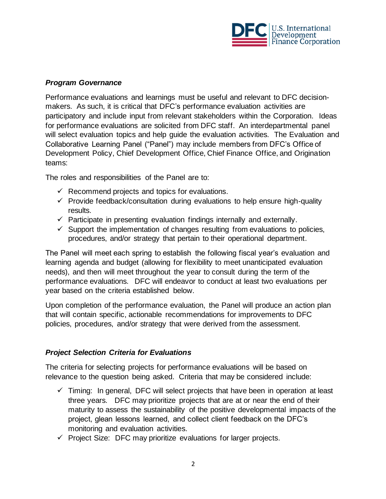

# *Program Governance*

Performance evaluations and learnings must be useful and relevant to DFC decisionmakers. As such, it is critical that DFC's performance evaluation activities are participatory and include input from relevant stakeholders within the Corporation. Ideas for performance evaluations are solicited from DFC staff. An interdepartmental panel will select evaluation topics and help guide the evaluation activities. The Evaluation and Collaborative Learning Panel ("Panel") may include members from DFC's Office of Development Policy, Chief Development Office, Chief Finance Office, and Origination teams:

The roles and responsibilities of the Panel are to:

- $\checkmark$  Recommend projects and topics for evaluations.
- $\checkmark$  Provide feedback/consultation during evaluations to help ensure high-quality results.
- $\checkmark$  Participate in presenting evaluation findings internally and externally.
- $\checkmark$  Support the implementation of changes resulting from evaluations to policies, procedures, and/or strategy that pertain to their operational department.

The Panel will meet each spring to establish the following fiscal year's evaluation and learning agenda and budget (allowing for flexibility to meet unanticipated evaluation needs), and then will meet throughout the year to consult during the term of the performance evaluations. DFC will endeavor to conduct at least two evaluations per year based on the criteria established below.

Upon completion of the performance evaluation, the Panel will produce an action plan that will contain specific, actionable recommendations for improvements to DFC policies, procedures, and/or strategy that were derived from the assessment.

# *Project Selection Criteria for Evaluations*

The criteria for selecting projects for performance evaluations will be based on relevance to the question being asked. Criteria that may be considered include:

- $\checkmark$  Timing: In general, DFC will select projects that have been in operation at least three years. DFC may prioritize projects that are at or near the end of their maturity to assess the sustainability of the positive developmental impacts of the project, glean lessons learned, and collect client feedback on the DFC's monitoring and evaluation activities.
- ✓ Project Size: DFC may prioritize evaluations for larger projects.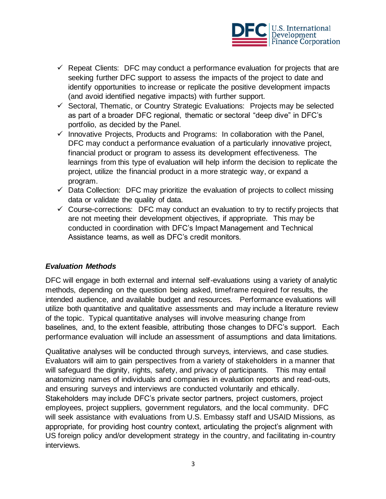

- $\checkmark$  Repeat Clients: DFC may conduct a performance evaluation for projects that are seeking further DFC support to assess the impacts of the project to date and identify opportunities to increase or replicate the positive development impacts (and avoid identified negative impacts) with further support.
- ✓ Sectoral, Thematic, or Country Strategic Evaluations: Projects may be selected as part of a broader DFC regional, thematic or sectoral "deep dive" in DFC's portfolio, as decided by the Panel.
- $\checkmark$  Innovative Projects, Products and Programs: In collaboration with the Panel, DFC may conduct a performance evaluation of a particularly innovative project, financial product or program to assess its development effectiveness. The learnings from this type of evaluation will help inform the decision to replicate the project, utilize the financial product in a more strategic way, or expand a program.
- $\checkmark$  Data Collection: DFC may prioritize the evaluation of projects to collect missing data or validate the quality of data.
- $\checkmark$  Course-corrections: DFC may conduct an evaluation to try to rectify projects that are not meeting their development objectives, if appropriate. This may be conducted in coordination with DFC's Impact Management and Technical Assistance teams, as well as DFC's credit monitors.

### *Evaluation Methods*

DFC will engage in both external and internal self-evaluations using a variety of analytic methods, depending on the question being asked, timeframe required for results, the intended audience, and available budget and resources. Performance evaluations will utilize both quantitative and qualitative assessments and may include a literature review of the topic. Typical quantitative analyses will involve measuring change from baselines, and, to the extent feasible, attributing those changes to DFC's support. Each performance evaluation will include an assessment of assumptions and data limitations.

Qualitative analyses will be conducted through surveys, interviews, and case studies. Evaluators will aim to gain perspectives from a variety of stakeholders in a manner that will safeguard the dignity, rights, safety, and privacy of participants. This may entail anatomizing names of individuals and companies in evaluation reports and read-outs, and ensuring surveys and interviews are conducted voluntarily and ethically. Stakeholders may include DFC's private sector partners, project customers, project employees, project suppliers, government regulators, and the local community. DFC will seek assistance with evaluations from U.S. Embassy staff and USAID Missions, as appropriate, for providing host country context, articulating the project's alignment with US foreign policy and/or development strategy in the country, and facilitating in-country interviews.